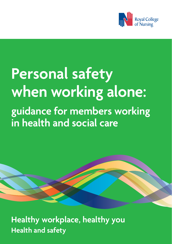

# **Personal safety when working alone: guidance for members working in health and social care**

**Healthy workplace, healthy you Health and safety**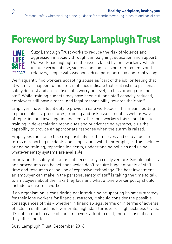## **Foreword by Suzy Lamplugh Trust**



Suzy Lamplugh Trust works to reduce the risk of violence and aggression in society through campaigning, education and support. Our work has highlighted the issues faced by lone workers, which include verbal abuse, violence and aggression from patients and relatives, people with weapons, drug paraphernalia and trophy dogs.

We frequently find workers accepting abuse as 'part of the job' or feeling that 'it will never happen to me'. But statistics indicate that real risks to personal safety do exist and are realised at a worrying level, no less among nursing staff. While training budgets may have been cut, and staff capacity reduced, employers still have a moral and legal responsibility towards their staff.

Employers have a legal duty to provide a safe workplace. This means putting in place policies, procedures, training and risk assessment as well as ways of reporting and investigating incidents. For lone workers this should include training in de-escalation techniques and buddy/tracing systems, plus the capability to provide an appropriate response when the alarm is raised.

Employees must also take responsibility for themselves and colleagues in terms of reporting incidents and cooperating with their employer. This includes attending training, reporting incidents, understanding policies and using whatever safety systems are available.

Improving the safety of staff is not necessarily a costly venture. Simple policies and procedures can be actioned which don't require huge amounts of staff time and resources or the use of expensive technology. The best investment an employer can make in the personal safety of staff is taking the time to talk to employees about the risks they face and what a lone worker policy should include to ensure it works.

If an organisation is considering not introducing or updating its safety strategy for their lone workers for financial reasons, it should consider the possible consequences of this – whether in financial/legal terms or in terms of adverse effects on staff such as low morale, high staff turnover or high sickness levels. It's not so much a case of can employers afford to do it, more a case of can they afford not to.

Suzy Lamplugh Trust, September 2016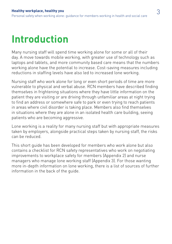## **Introduction**

Many nursing staff will spend time working alone for some or all of their day. A move towards mobile working, with greater use of technology such as laptops and tablets, and more community based care means that the numbers working alone have the potential to increase. Cost-saving measures including reductions in staffing levels have also led to increased lone working.

Nursing staff who work alone for long or even short periods of time are more vulnerable to physical and verbal abuse. RCN members have described finding themselves in frightening situations where they have little information on the patient they are visiting or are driving through unfamiliar areas at night trying to find an address or somewhere safe to park or even trying to reach patients in areas where civil disorder is taking place. Members also find themselves in situations where they are alone in an isolated health care building, seeing patients who are becoming aggressive.

Lone working is a reality for many nursing staff but with appropriate measures taken by employers, alongside practical steps taken by nursing staff, the risks can be reduced.

This short guide has been developed for members who work alone but also contains a checklist for RCN safety representatives who work on negotiating improvements to workplace safety for member[s \(Appendix 2\) a](#page-15-0)nd nurse managers who manage lone working sta[ff \(Appendix 3\).](#page-16-0) For those wanting more in-depth information on lone working, there is a list of sources of further information in the back of the guide.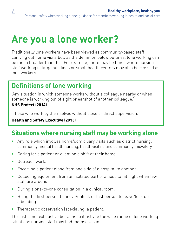## **Are you a lone worker?**

Traditionally lone workers have been viewed as community-based staff carrying out home visits but, as the definition below outlines, lone working can be much broader than this. For example, there may be times where nursing staff working in large buildings or small health centres may also be classed as lone workers.

### **Definitions of lone working**

'Any situation in which someone works without a colleague nearby or when someone is working out of sight or earshot of another colleague.' **NHS Protect (2014)**

'Those who work by themselves without close or direct supervision.'

#### **Health and Safety Executive (2013)**

### **Situations where nursing staff may be working alone**

- Anv role which involves home/domiciliary visits such as district nursing, community mental health nursing, health visiting and community midwifery.
- Caring for a patient or client on a shift at their home.
- Outreach work.
- Escorting a patient alone from one side of a hospital to another.
- Collecting equipment from an isolated part of a hospital at night when few staff are around.
- During a one-to-one consultation in a clinical room.
- Being the first person to arrive/unlock or last person to leave/lock up a building.
- Therapeutic observation (specialing) a patient.

This list is not exhaustive but aims to illustrate the wide range of lone working situations nursing staff may find themselves in.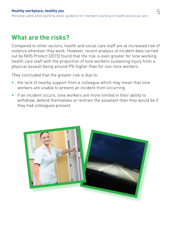### **What are the risks?**

Compared to other sectors, health and social care staff are at increased risk of violence wherever they work. However, recent analysis of incident data carried out by NHS Protect (2015) found that the risk is even greater for lone working health care staff with the proportion of lone workers sustaining injury from a physical assault being around 9% higher than for non-lone workers.

They concluded that the greater risk is due to:

- the lack of nearby support from a colleague which may mean that lone workers are unable to prevent an incident from occurring
- if an incident occurs, lone workers are more limited in their ability to withdraw, defend themselves or restrain the assailant than they would be if they had colleagues present.

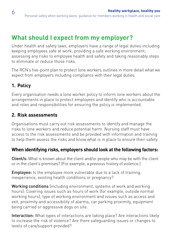### **What should I expect from my employer?**

Under health and safety laws, employers have a range of legal duties including keeping employees safe at work; providing a safe working environment; assessing any risks to employee health and safety and taking reasonably steps to eliminate or reduce those risks.

The RCN's five-point plan to protect lone workers outlines in more detail what we expect from employers including compliance with their legal duties.

#### **1. Policy**

6

Every organisation needs a lone worker policy to inform lone workers about the arrangements in place to protect employees and identify who is accountable and roles and responsibilities for ensuring the policy is implemented.

#### **2. Risk assessments**

Organisations must carry out risk assessments to identify and manage the risks to lone workers and reduce potential harm. Nursing staff must have access to the risk assessments and be provided with information and training to help them assess the risks and know what is in place to ensure their safety.

#### **When identifying risks, employers should look at the following factors:**

Client/s: What is known about the client and/or people who may be with the client or in the client's premises? (For example, a previous history of violence.)

**Employee:** Is the employee more vulnerable due to a lack of training. inexperience, existing health conditions or pregnancy?

Working conditions (including environment, systems of work and working hours): Covering issues such as hours of work (for example, outside normal working hours); type of working environment and issues such as access and exit, proximity and accessibility of alarms, car parking proximity, equipment being carried or aggressive dogs on site.

Interaction: What types of interactions are taking place? Are interactions likely to increase the risk of violence? Are there safeguarding issues or changes to levels of care/support provided?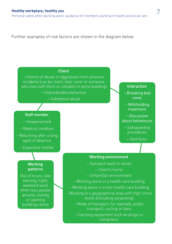Further examples of risk factors are shown in the diagram below.

#### Client

– History of abuse or aggression from previous incidents (can be client, their carer or someone who lives with them or cohabits in same building)

– Unpredictable behaviour

– Substance abuse

#### Staff member

- Inexperienced
- Medical condition
- Returning after a long spell of absence
	- Expectant mother

#### **Working** patterns

Out of hours, late evening, night, weekend work when less people around, closing or opening buildings alone

– Outreach work in street – Client's home – Unfamiliar environment – Working alone in a health care building – Working alone in a non-health care building – Working in a geographical area with high crime levels (including carjacking) – Mode of transport, for example, public transport, cycling or taxis

Working environment

– Carrying equipment such as drugs or computers

#### Interaction

- Breaking bad news
- Withholding treatment
- Discussion about behaviours
	- Safeguarding procedures
		- Sanctions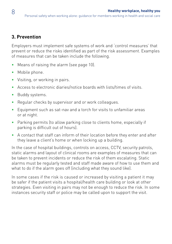#### **3. Prevention**

Employers must implement safe systems of work and 'control measures' that prevent or reduce the risks identified as part of the risk assessment. Examples of measures that can be taken include the following.

- Means of raising the alarm [\(see page 10\).](#page-9-0)
- Mobile phone.
- Visiting, or working in pairs.
- Access to electronic diaries/notice boards with lists/times of visits.
- Buddy systems.
- Regular checks by supervisor and or work colleagues.
- Equipment such as sat-nav and a torch for visits to unfamiliar areas or at night.
- Parking permits (to allow parking close to clients home, especially if parking is difficult out of hours).
- • A contact that staff can inform of their location before they enter and after they leave a client's home or when locking up a building.

In the case of hospital buildings, controls on access, CCTV, security patrols, static alarms and layout of clinical rooms are examples of measures that can be taken to prevent incidents or reduce the risk of them escalating. Static alarms must be regularly tested and staff made aware of how to use them and what to do if the alarm goes off (including what they sound like).

In some cases if the risk is caused or increased by visiting a patient it may be safer if the patient visits a hospital/health care building or look at other strategies. Even visiting in pairs may not be enough to reduce the risk. In some instances security staff or police may be called upon to support the visit.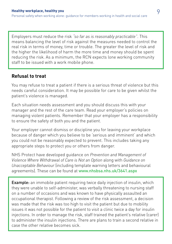Employers must reduce the risk *"so far as is reasonably practicable"*. This means balancing the level of risk against the measures needed to control the real risk in terms of money, time or trouble. The greater the level of risk and the higher the likelihood of harm the more time and money should be spent reducing the risk. As a minimum, the RCN expects lone working community staff to be issued with a work mobile phone.

#### **Refusal to treat**

You may refuse to treat a patient if there is a serious threat of violence but this needs careful consideration. It may be possible for care to be given whilst the patient's violence is managed.

Each situation needs assessment and you should discuss this with your manager and the rest of the care team. Read your employer's policies on managing violent patients. Remember that your employer has a responsibility to ensure the safety of both you and the patient.

Your employer cannot dismiss or discipline you for leaving your workplace because of danger which you believe to be 'serious and imminent' and which you could not be reasonably expected to prevent. This includes taking any appropriate steps to protect you or others from danger.

NHS Protect have developed guidance on *Prevention and Management of Violence Where Withdrawal of Care is Not an Option* along with *Guidance on Unacceptable Behaviour* (including template warning letters and behavioural agreements). These can be found at [www.nhsbsa.nhs.uk/3641.aspx](http://www.nhsbsa.nhs.uk/3641.aspx)

**Example:** an immobile patient requiring twice daily injection of insulin, which they were unable to self-administer, was verbally threatening to nursing staff on a number of occasions and was known to have physically assaulted an occupational therapist. Following a review of the risk assessment, a decision was made that the risk was too high to visit the patient but due to mobility issues it was not possible for the patient to visit a clinic twice a day for insulin injections. In order to manage the risk, staff trained the patient's relative (carer) to administer the insulin injections. There are plans to train a second relative in case the other relative becomes sick.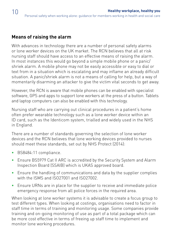#### <span id="page-9-0"></span>**Means of raising the alarm**

With advances in technology there are a number of personal safety alarms or lone worker devices on the UK market. The RCN believes that all at risk nursing staff should have access to an effective means of raising the alarm. In most instances this would go beyond a simple mobile phone or a panic/ shriek alarm. A mobile phone may not be easily accessible or easy to dial or text from in a situation which is escalating and may inflame an already difficult situation. A panic/shriek alarm is not a means of calling for help, but a way of momentarily disarming an attacker to give the victim vital seconds to get away.

However, the RCN is aware that mobile phones can be enabled with specialist software, GPS and apps to support lone workers at the press of a button. Tablets and laptop computers can also be enabled with this technology.

Nursing staff who are carrying out clinical procedures in a patient's home often prefer wearable technology such as a lone worker device within an ID card, such as the Identicom system, trialled and widely used in the NHS in England.

There are a number of standards governing the selection of lone worker devices and the RCN believes that lone working devices provided to nurses should meet these standards, set out by NHS Protect (2014):

- • BS8484:11 compliance.
- Ensure BS5979 Cat II ARC is accredited by the Security System and Alarm Inspection Board (SSAIB) which is UKAS approved board.
- Ensure the handling of communications and data by the supplier complies with the ISMS and ISO27001 and ISO27002.
- Ensure URNs are in place for the supplier to receive and immediate police emergency response from all police forces in the required area.

When looking at lone worker systems it is advisable to create a focus group to test different types. When looking at costings, organisations need to factor in staff time in terms of training and monitoring usage. Some companies provide training and on-going monitoring of use as part of a total package which can be more cost effective in terms of freeing up staff time to implement and monitor lone working procedures.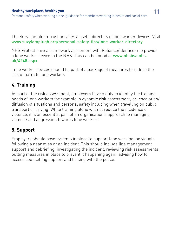The Suzy Lamplugh Trust provides a useful directory of lone worker devices. Visit [www.suzylamplugh.org/personal-safety-tips/lone-worker-directory](http://www.suzylamplugh.org/personal-safety-tips/lone-worker-directory)

NHS Protect have a framework agreement with Reliance/Identicom to provide [a lone worker device to the NHS. This can be found at](http://www.nhsbsa.nhs.uk/4248.aspx) www.nhsbsa.nhs. uk/4248.aspx

Lone worker devices should be part of a package of measures to reduce the risk of harm to lone workers.

#### **4. Training**

As part of the risk assessment, employers have a duty to identify the training needs of lone workers for example in dynamic risk assessment, de-escalation/ diffusion of situations and personal safety including when travelling on public transport or driving. While training alone will not reduce the incidence of violence, it is an essential part of an organisation's approach to managing violence and aggression towards lone workers.

#### **5. Support**

Employers should have systems in place to support lone working individuals following a near miss or an incident. This should include line management support and debriefing; investigating the incident; reviewing risk assessments; putting measures in place to prevent it happening again; advising how to access counselling support and liaising with the police.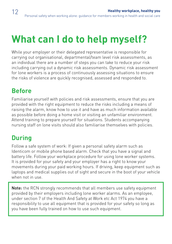## **What can I do to help myself?**

While your employer or their delegated representative is responsible for carrying out organisational, departmental/team level risk assessments, as an individual there are a number of steps you can take to reduce your risk including carrying out a dynamic risk assessments. Dynamic risk assessment for lone workers is a process of continuously assessing situations to ensure the risks of violence are quickly recognised, assessed and responded to.

### **Before**

Familiarise yourself with policies and risk assessments, ensure that you are provided with the right equipment to reduce the risks including a means of raising the alarm, know how to use it and have as much information available as possible before doing a home visit or visiting an unfamiliar environment. Attend training to prepare yourself for situations. Students accompanying nursing staff on lone visits should also familiarise themselves with policies.

### **During**

Follow a safe system of work: If given a personal safety alarm such as Identicom or mobile phone based alarm. Check that you have a signal and battery life. Follow your workplace procedure for using lone worker systems. It is provided for your safety and your employer has a right to know your movements during your paid working hours. If driving, keep equipment such as laptops and medical supplies out of sight and secure in the boot of your vehicle when not in use.

Note: the RCN strongly recommends that all members use safety equipment provided by their employers including lone worker alarms. As an employee, under section 7 of the Health And Safety at Work etc Act 1974 you have a responsibility to use all equipment that is provided for your safety so long as you have been fully trained on how to use such equipment.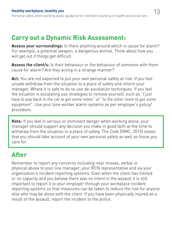### **Carry out a Dynamic Risk Assessment:**

Assess your surroundings: Is there anything around which is cause for alarm? For example, a potential weapon, a dangerous animal. Think about how you will get out if things get difficult.

**A**ssess the client/s: Is their behaviour or the behaviour of someone with them cause for alarm? Are they acting in a strange manner?

**A**ct: You are not expected to put your own personal safety at risk. If you feel unsafe withdraw from the situation to a place of safety and inform your manager. Where it is safe to do so use de-escalation techniques. If you feel the situation is escalating use strategies to remove yourself, such as "*I just have to pop back to the car to get some notes*" or "*to the other room to get some equipment*". Use your lone worker alarm systems as per employer's policy/ procedure.

Note: If you feel in serious or imminent danger when working alone, your manager should support any decision you make in good faith at the time to withdraw from the situation to a place of safety. The *Code* (NMC, 2015) states that you should take account of your own personal safety as well as those you care for.

## **After**

Remember to report any concerns including near misses, verbal or physical abuse to your line manager; your RCN representative and via your organisation's incident reporting systems. Even when the client has limited or no capacity and you believe there was no intent in the assault it is still important to report it to your employer through your workplace incident reporting systems so that measures can be taken to reduce the risk for anyone else who may be alone with the client. If you have been physically injured as a result of the assault, report the incident to the police.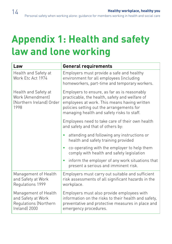## **Appendix 1: Health and safety law and lone working**

| Law                                                                                  | <b>General requirements</b>                                                                                                                                                                                                               |
|--------------------------------------------------------------------------------------|-------------------------------------------------------------------------------------------------------------------------------------------------------------------------------------------------------------------------------------------|
| Health and Safety at<br>Work Etc Act 1974                                            | Employers must provide a safe and healthy<br>environment for all employees (including<br>homeworkers, part-time and temporary workers.                                                                                                    |
| Health and Safety at<br>Work (Amendment)<br>(Northern Ireland) Order<br>1998         | Employers to ensure, as far as is reasonably<br>practicable, the health, safety and welfare of<br>employees at work. This means having written<br>policies setting out the arrangements for<br>managing health and safety risks to staff. |
|                                                                                      | Employees need to take care of their own health<br>and safety and that of others by:                                                                                                                                                      |
|                                                                                      | attending and following any instructions or<br>٠<br>health and safety training provided                                                                                                                                                   |
|                                                                                      | co-operating with the employer to help them<br>$\bullet$<br>comply with health and safety legislation                                                                                                                                     |
|                                                                                      | inform the employer of any work situations that<br>$\bullet$<br>present a serious and imminent risk.                                                                                                                                      |
| Management of Health<br>and Safety at Work<br>Regulations 1999                       | Employers must carry out suitable and sufficient<br>risk assessments of all significant hazards in the<br>workplace.                                                                                                                      |
| Management of Health<br>and Safety at Work<br>Regulations (Northern<br>Ireland) 2000 | Employers must also provide employees with<br>information on the risks to their health and safety,<br>preventative and protective measures in place and<br>emergency procedures.                                                          |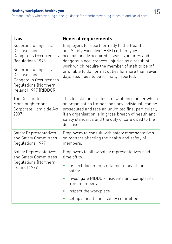Personal safety when working alone: guidance for members working in health and social care

| Law                                                                                                                                                                                                       | <b>General requirements</b>                                                                                                                                                                                                                                                                                                                       |
|-----------------------------------------------------------------------------------------------------------------------------------------------------------------------------------------------------------|---------------------------------------------------------------------------------------------------------------------------------------------------------------------------------------------------------------------------------------------------------------------------------------------------------------------------------------------------|
| Reporting of Injuries,<br>Diseases and<br>Dangerous Occurrences<br>Regulations 1996<br>Reporting of Injuries,<br>Diseases and<br>Dangerous Occurrences<br>Regulations (Northern<br>Ireland) 1997 (RIDDOR) | Employers to report formally to the Health<br>and Safety Executive (HSE) certain types of<br>occupationally acquired diseases, injuries and<br>dangerous occurrences. Injuries as a result of<br>work which require the member of staff to be off<br>or unable to do normal duties for more than seven<br>days also need to be formally reported. |
| The Corporate<br>Manslaughter and<br>Corporate Homicide Act<br>2007                                                                                                                                       | This legislation creates a new offence under which<br>an organisation (rather than any individual) can be<br>prosecuted and face an unlimited fine, particularly<br>if an organisation is in gross breach of health and<br>safety standards and the duty of care owed to the<br>deceased.                                                         |
| <b>Safety Representatives</b><br>and Safety Committees<br>Regulations 1977                                                                                                                                | Employers to consult with safety representatives<br>on matters affecting the health and safety of<br>members.                                                                                                                                                                                                                                     |
| <b>Safety Representatives</b><br>and Safety Committees<br>Regulations (Northern<br>Ireland) 1979                                                                                                          | Employers to allow safety representatives paid<br>time off to:                                                                                                                                                                                                                                                                                    |
|                                                                                                                                                                                                           | inspect documents relating to health and<br>safety                                                                                                                                                                                                                                                                                                |
|                                                                                                                                                                                                           | investigate RIDDOR incidents and complaints<br>from members                                                                                                                                                                                                                                                                                       |
|                                                                                                                                                                                                           | inspect the workplace                                                                                                                                                                                                                                                                                                                             |
|                                                                                                                                                                                                           | set up a health and safety committee.                                                                                                                                                                                                                                                                                                             |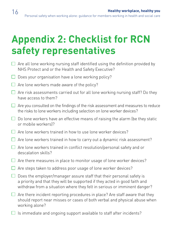## <span id="page-15-0"></span>**Appendix 2: Checklist for RCN safety representatives**

- $\Box$  Are all lone working nursing staff identified using the definition provided by NHS Protect and or the Health and Safety Executive?
- $\Box$  Does your organisation have a lone working policy?
- $\Box$  Are lone workers made aware of the policy?
- $\Box$  Are risk assessments carried out for all lone working nursing staff? Do they have access to them?
- $\Box$  Are you consulted on the findings of the risk assessment and measures to reduce the risks to lone workers including selection on lone worker devices?
- $\Box$  Do lone workers have an effective means of raising the alarm (be they static or mobile workers)?
- $\Box$  Are lone workers trained in how to use lone worker devices?
- $\Box$  Are lone workers trained in how to carry out a dynamic risk assessment?
- $\Box$  Are lone workers trained in conflict resolution/personal safety and or descalation skills?
- $\Box$  Are there measures in place to monitor usage of lone worker devices?
- $\Box$  Are steps taken to address poor usage of lone worker devices?
- $\Box$  Does the employer/manager assure staff that their personal safety is a priority and that they will be supported if they acted in good faith and withdraw from a situation where they felt in serious or imminent danger?
- $\Box$  Are there incident reporting procedures in place? Are staff aware that they should report near misses or cases of both verbal and physical abuse when working alone?
- $\Box$  Is immediate and ongoing support available to staff after incidents?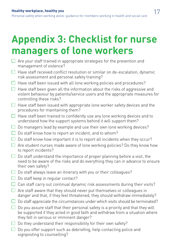<span id="page-16-0"></span>Personal safety when working alone: guidance for members working in health and social care

## **Appendix 3: Checklist for nurse managers of lone workers**

- $\Box$  Are your staff trained in appropriate strategies for the prevention and management of violence?
- $\Box$  Have staff received conflict resolution or similar on de-escalation, dynamic risk assessment and personal safety training?
- $\Box$  Have staff been issued with all lone working policies and procedures?
- $\Box$  Have staff been given all the information about the risks of aggressive and violent behaviour by patients/service users and the appropriate measures for controlling these risks?
- $\Box$  Have staff been issued with appropriate lone worker safety devices and the procedures for maintaining them?
- $\Box$  Have staff been trained to confidently use any lone working devices and to understand how the support systems behind it will support them?
- $\Box$  Do managers lead by example and use their own lone working devices?
- $\Box$  Do staff know how to report an incident, and to whom?
- $\Box$  Do staff know how important it is to report all incidents when they occur?
- $\Box$  Are student nurses made aware of lone working policies? Do they know how to report incidents?
- $\Box$  Do staff understand the importance of proper planning before a visit, the need to be aware of the risks and do everything they can in advance to ensure their own safety?
- $\Box$  Do staff always leave an itinerary with you or their colleagues?
- $\Box$  Do staff keep in regular contact?
- $\Box$  Can staff carry out continual dynamic risk assessments during their visits?
- $\Box$  Are staff aware that they should never put themselves or colleagues in danger and that, if they feel threatened, they should withdraw immediately?
- $\Box$  Do staff appreciate the circumstances under which visits should be terminated?
- $\Box$  Do you assure staff that their personal safety is a priority and that they will be supported if they acted in good faith and withdraw from a situation where they felt in serious or imminent danger?
- $\Box$  Do they understand their responsibility for their own safety?
- $\Box$  Do you offer support such as debriefing, help contacting police and signposting to counselling?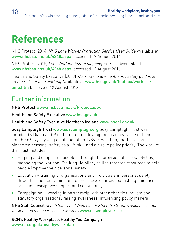## **References**

NHS Protect (2014) *NHS Lone Worker Protection Service User Guide* Available at [www.nhsbsa.nhs.uk/4248.aspx](http://www.nhsbsa.nhs.uk/4248.aspx) (accessed 12 August 2016)

NHS Protect (2015) *Lone Working Estate Mapping Exercise* Available at [www.nhsbsa.nhs.uk/4248.aspx](http://www.nhsbsa.nhs.uk/4248.aspx) (accessed 12 August 2016)

Health and Safety Executive (2013) *Working Alone – health and safety guidance on the risks of lone working* Available at [www.hse.gov.uk/toolbox/workers/](http://www.hse.gov.uk/toolbox/workers/lone.htm) lone.htm (accessed 12 August 2016)

### Further information

NHS Protect [www.nhsbsa.nhs.uk/Protect.aspx](http://www.nhsbsa.nhs.uk/Protect.aspx)

Health and Safety Executive [www.hse.gov.uk](http://www.hse.gov.uk)

#### Health and Safety Executive Northern Ireland [www.hseni.gov.uk](http://www.hseni.gov.uk)

Suzy Lamplugh Trust [www.suzylamplugh.org](http://www.suzylamplugh.org) Suzy Lamplugh Trust was founded by Diana and Paul Lamplugh following the disappearance of their daughter Suzy, a young estate agent, in 1986. Since then, the Trust has pioneered personal safety as a life skill and a public policy priority. The work of the Trust includes:

- Helping and supporting people through the provision of free safety tips, managing the National Stalking Helpline; selling targeted resources to help people improve their personal safety
- Education training of organisations and individuals in personal safety through in-house training and open access courses; publishing guidance; providing workplace support and consultancy
- Campaigning working in partnership with other charities, private and statutory organisations; raising awareness; influencing policy makers

NHS Staff Council *Health Safety and Wellbeing Partnership Group's guidance for lone workers and managers of lone workers* [www.nhsemployers.org](http://www.nhsemployers.org/your-workforce/retain-and-improve/staff-experience/health-work-and-wellbeing/protecting-staff-and-preventing-ill-health/partnership-working-across-your-organisation/partnership-working-on-health-safety-and-wellbeing/hswpg-publications-advice-and-resources)

RCN's Healthy Workplace, Healthy You Campaign [www.rcn.org.uk/healthyworkplace](http://www.rcn.org.uk/healthyworkplace)